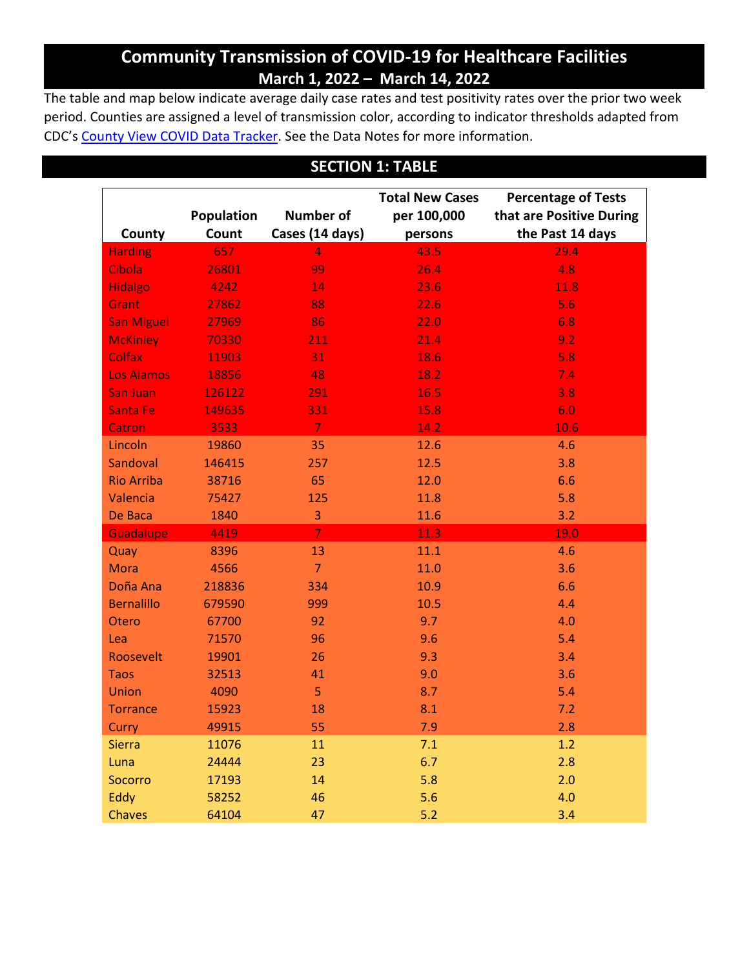## **Community Transmission of COVID-19 for Healthcare Facilities March 1, 2022 – March 14, 2022**

The table and map below indicate average daily case rates and test positivity rates over the prior two week period. Counties are assigned a level of transmission color, according to indicator thresholds adapted from CDC's [County View COVID Data Tracker.](https://covid.cdc.gov/covid-data-tracker/#county-view) See the Data Notes for more information.

### **SECTION 1: TABLE**

|                   |            |                  | <b>Total New Cases</b><br><b>Percentage of Tests</b> |                          |  |
|-------------------|------------|------------------|------------------------------------------------------|--------------------------|--|
|                   | Population | <b>Number of</b> | per 100,000                                          | that are Positive During |  |
| County            | Count      | Cases (14 days)  | persons                                              | the Past 14 days         |  |
| <b>Harding</b>    | 657        | $\overline{4}$   | 43.5                                                 | 29.4                     |  |
| Cibola            | 26801      | 99               | 26.4                                                 | 4.8                      |  |
| <b>Hidalgo</b>    | 4242       | 14               | 23.6                                                 | 11.8                     |  |
| <b>Grant</b>      | 27862      | 88               | 22.6                                                 | 5.6                      |  |
| <b>San Miguel</b> | 27969      | 86               | 22.0                                                 | 6.8                      |  |
| <b>McKinley</b>   | 70330      | 211              | 21.4                                                 | 9.2                      |  |
| <b>Colfax</b>     | 11903      | 31               | 18.6                                                 | 5.8                      |  |
| <b>Los Alamos</b> | 18856      | 48               | 18.2                                                 | 7.4                      |  |
| San Juan          | 126122     | 291              | 16.5                                                 | 3.8                      |  |
| Santa Fe          | 149635     | 331              | 15.8                                                 | 6.0                      |  |
| <b>Catron</b>     | 3533       | $\overline{7}$   | 14.2                                                 | 10.6                     |  |
| Lincoln           | 19860      | 35               | 12.6                                                 | 4.6                      |  |
| Sandoval          | 146415     | 257              | 12.5                                                 | 3.8                      |  |
| <b>Rio Arriba</b> | 38716      | 65               | 12.0                                                 | 6.6                      |  |
| Valencia          | 75427      | 125              | 11.8                                                 | 5.8                      |  |
| De Baca           | 1840       | 3                | 11.6                                                 | 3.2                      |  |
| <b>Guadalupe</b>  | 4419       | $\overline{7}$   | 11.3                                                 | 19.0                     |  |
| Quay              | 8396       | 13               | 11.1                                                 | 4.6                      |  |
| <b>Mora</b>       | 4566       | $\overline{7}$   | 11.0                                                 | 3.6                      |  |
| Doña Ana          | 218836     | 334              | 10.9                                                 | 6.6                      |  |
| <b>Bernalillo</b> | 679590     | 999              | 10.5                                                 | 4.4                      |  |
| Otero             | 67700      | 92               | 9.7                                                  | 4.0                      |  |
| Lea               | 71570      | 96               | 9.6                                                  | 5.4                      |  |
| Roosevelt         | 19901      | 26               | 9.3                                                  | 3.4                      |  |
| <b>Taos</b>       | 32513      | 41               | 9.0                                                  | 3.6                      |  |
| Union             | 4090       | 5                | 8.7                                                  | 5.4                      |  |
| <b>Torrance</b>   | 15923      | 18               | 8.1                                                  | 7.2                      |  |
| Curry             | 49915      | 55               | 7.9                                                  | 2.8                      |  |
| <b>Sierra</b>     | 11076      | 11               | 7.1                                                  | 1.2                      |  |
| Luna              | 24444      | 23               | 6.7                                                  | 2.8                      |  |
| Socorro           | 17193      | 14               | 5.8                                                  | 2.0                      |  |
| Eddy              | 58252      | 46               | 5.6                                                  | 4.0                      |  |
| <b>Chaves</b>     | 64104      | 47               | 5.2                                                  | 3.4                      |  |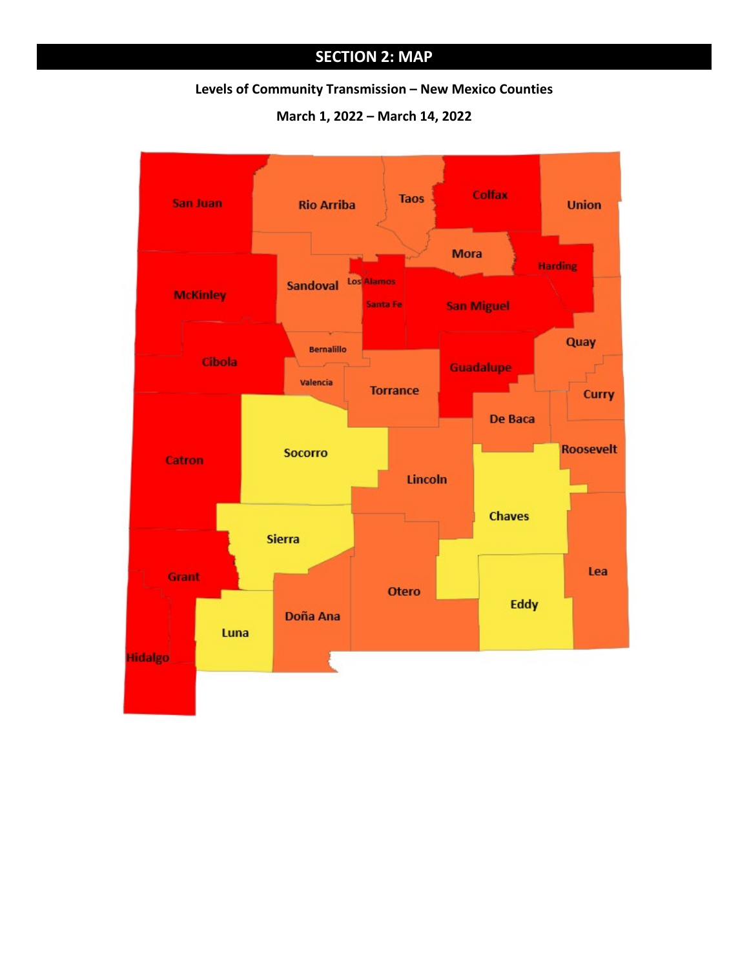# **SECTION 2: MAP**

#### **Levels of Community Transmission – New Mexico Counties**

**March 1, 2022 – March 14, 2022**